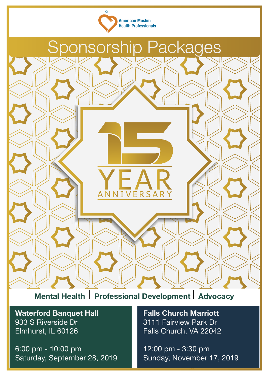



**Mental Health** I **Professional Development** I **Advocacy**

**Waterford Banquet Hall**  933 S Riverside Dr Elmhurst, IL 60126

6:00 pm - 10:00 pm Saturday, September 28, 2019 **Falls Church Marriott**  3111 Fairview Park Dr Falls Church, VA 22042

**AMERICAN MUSLIM Health Professionals** Sunday, November 17, 2019 12:00 pm - 3:30 pm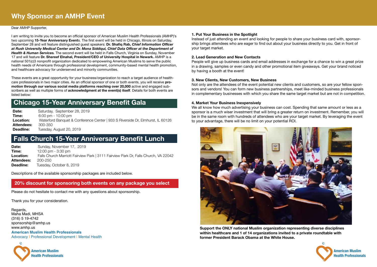

**American Muslim Health Professionals**

#### Dear AMHP Supporter,

I am writing to invite you to become an official sponsor of American Muslim Health Professionals (AMHP)'s two upcoming **15-Year Anniversary Event**s. The first event will be held in Chicago, Illinois on Saturday, September 28 and will feature distinguished guest speakers: **Dr. Shafiq Rab,** *Chief Information Officer at Rush University Medical Center and Dr. Mona Siddiqui, Chief Data Officer at the Department of Health & Human Services.* The second event will be held in Falls Church, Virginia on Sunday, November 17 and will feature **Dr. Shereef Elnahal, President/CEO of University Hospital in Newark.** AMHP is a national 501(c)3 nonprofit organization dedicated to empowering American Muslims to serve the public health needs of Americans through professional development, community-based mental health promotion, and healthcare advocacy for underserved and minority communities.

**Date:** Saturday, September 28, 2019 **Time:** 6:00 pm - 10:00 pm **Location:** Waterford Banquet & Conference Center | 933 S Riverside Dr, Elmhurst, IL 60126 **Attendees:** 300-350<br>**Deadline:** Tuesday. **Deadline:** Tuesday, August 20, 2019

These events are a great opportunity for your business/organization to reach a target audience of healthcare professionals in two major cities. As an official sponsor of one or both events, you will receive **promotion through our various social media platforms reaching over 20,000** active and engaged subscribers as well as multiple forms of **acknowledgment at the event(s) itself**. Details for both events are listed below:

### **Chicago 15-Year Anniversary Benefit Gala**

### **Falls Church 15-Year Anniversary Benefit Lunch**

**Date:** Sunday, November 17, 2019 **Time: 12:00 pm - 3:30 pm Location:** Falls Church Marriott Fairview Park | 3111 Fairview Park Dr, Falls Church, VA 22042 **Attendees:** 200-250 **Deadline:** Tuesday, October 8, 2019

Descriptions of the available sponsorship packages are included below.

Please do not hesitate to contact me with any questions about sponsorship.

Thank you for your consideration.

Regards, Maha Madi, MHSA (316) 5 19-4742 sponsorship@amhp.us www.amhp.us **American Muslim Health Professionals** Advocacy | Professional Development | Mental Health

#### **1. Put Your Business in the Spotlight**

Instead of just attending an event and looking for people to share your business card with, sponsorship brings attendees who are eager to find out about your business directly to you. Get in front of your target market.

#### **2. Lead Generation and New Contacts**

People will give up business cards and email addresses in exchange for a chance to win a great prize in a drawing, samples or even candy and other promotional item giveaways. Get your brand noticed by having a booth at the event!

### **3. New Clients, New Customers, New Business**

Not only are the attendees of the event potential new clients and customers, so are your fellow sponsors and vendors! You can form new business partnerships, meet like-minded business professionals in complementary businesses with which you share the same target market but are not in competition.

#### **4. Market Your Business Inexpensively**

We all know how much advertising your business can cost. Spending that same amount or less as a sponsor is a much wiser investment that will bring a greater return on investment. Remember, you will be in the same room with hundreds of attendees who are your target market. By leveraging the event to your advantage, there will be no limit on your potential ROI.



**Support the ONLY national Muslim organization representing diverse disciplines within healthcare and 1 of 14 organizations invited to a private roundtable with former President Barack Obama at the White House.**



### **20% discount for sponsoring both events on any package you select**